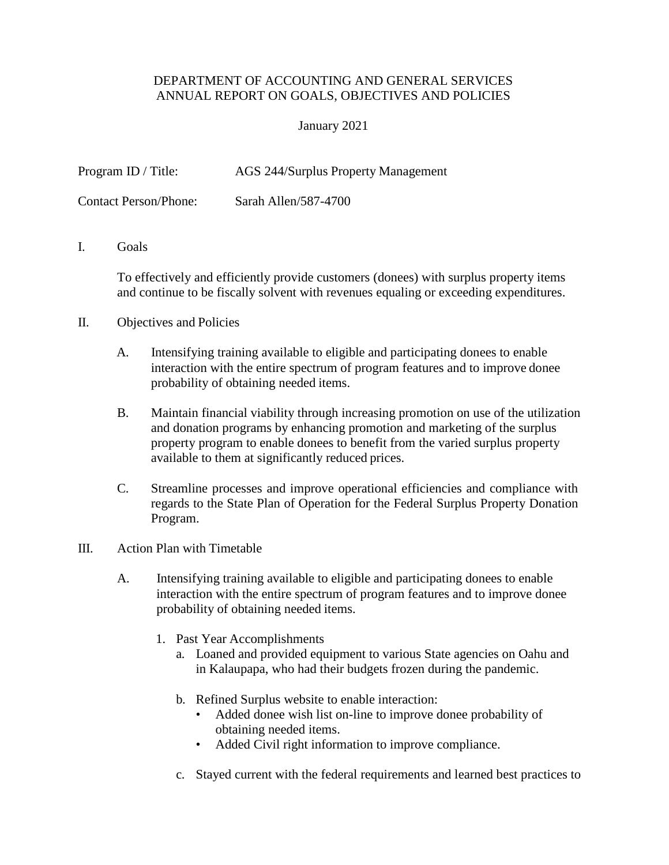## DEPARTMENT OF ACCOUNTING AND GENERAL SERVICES ANNUAL REPORT ON GOALS, OBJECTIVES AND POLICIES

## January 2021

Program ID / Title: AGS 244/Surplus Property Management

Contact Person/Phone: Sarah Allen/587-4700

I. Goals

To effectively and efficiently provide customers (donees) with surplus property items and continue to be fiscally solvent with revenues equaling or exceeding expenditures.

- II. Objectives and Policies
	- A. Intensifying training available to eligible and participating donees to enable interaction with the entire spectrum of program features and to improve donee probability of obtaining needed items.
	- B. Maintain financial viability through increasing promotion on use of the utilization and donation programs by enhancing promotion and marketing of the surplus property program to enable donees to benefit from the varied surplus property available to them at significantly reduced prices.
	- C. Streamline processes and improve operational efficiencies and compliance with regards to the State Plan of Operation for the Federal Surplus Property Donation Program.
- III. Action Plan with Timetable
	- A. Intensifying training available to eligible and participating donees to enable interaction with the entire spectrum of program features and to improve donee probability of obtaining needed items.
		- 1. Past Year Accomplishments
			- a. Loaned and provided equipment to various State agencies on Oahu and in Kalaupapa, who had their budgets frozen during the pandemic.
			- b. Refined Surplus website to enable interaction:
				- Added donee wish list on-line to improve donee probability of obtaining needed items.
				- Added Civil right information to improve compliance.
			- c. Stayed current with the federal requirements and learned best practices to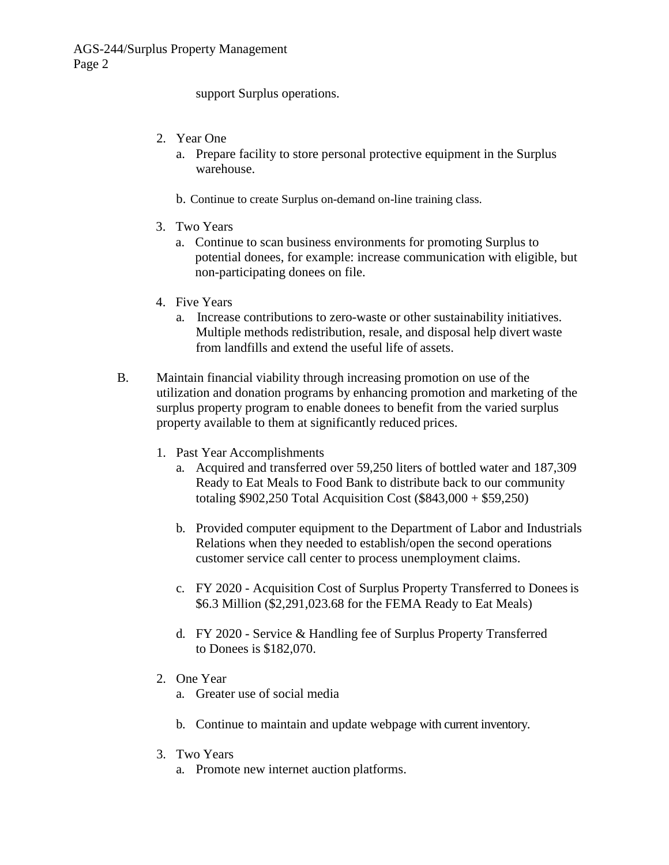support Surplus operations.

- 2. Year One
	- a. Prepare facility to store personal protective equipment in the Surplus warehouse.
	- b. Continue to create Surplus on-demand on-line training class.
- 3. Two Years
	- a. Continue to scan business environments for promoting Surplus to potential donees, for example: increase communication with eligible, but non-participating donees on file.
- 4. Five Years
	- a. Increase contributions to zero-waste or other sustainability initiatives. Multiple methods redistribution, resale, and disposal help divert waste from landfills and extend the useful life of assets.
- B. Maintain financial viability through increasing promotion on use of the utilization and donation programs by enhancing promotion and marketing of the surplus property program to enable donees to benefit from the varied surplus property available to them at significantly reduced prices.
	- 1. Past Year Accomplishments
		- a. Acquired and transferred over 59,250 liters of bottled water and 187,309 Ready to Eat Meals to Food Bank to distribute back to our community totaling \$902,250 Total Acquisition Cost (\$843,000 + \$59,250)
		- b. Provided computer equipment to the Department of Labor and Industrials Relations when they needed to establish/open the second operations customer service call center to process unemployment claims.
		- c. FY 2020 Acquisition Cost of Surplus Property Transferred to Doneesis \$6.3 Million (\$2,291,023.68 for the FEMA Ready to Eat Meals)
		- d. FY 2020 Service & Handling fee of Surplus Property Transferred to Donees is \$182,070.
	- 2. One Year
		- a. Greater use of social media
		- b. Continue to maintain and update webpage with current inventory.
	- 3. Two Years
		- a. Promote new internet auction platforms.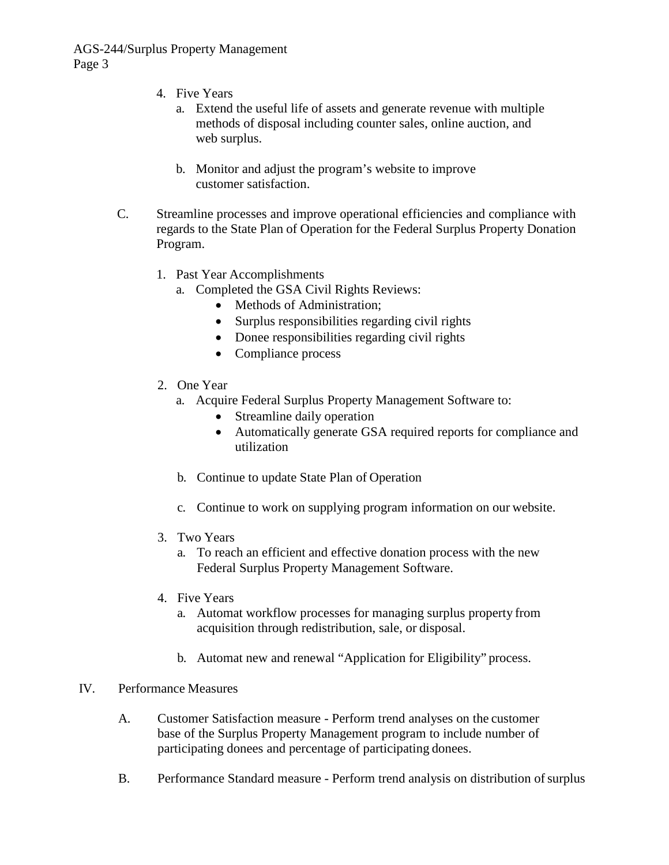- 4. Five Years
	- a. Extend the useful life of assets and generate revenue with multiple methods of disposal including counter sales, online auction, and web surplus.
	- b. Monitor and adjust the program's website to improve customer satisfaction.
- C. Streamline processes and improve operational efficiencies and compliance with regards to the State Plan of Operation for the Federal Surplus Property Donation Program.
	- 1. Past Year Accomplishments
		- a. Completed the GSA Civil Rights Reviews:
			- Methods of Administration:
			- Surplus responsibilities regarding civil rights
			- Donee responsibilities regarding civil rights
			- Compliance process
	- 2. One Year
		- a. Acquire Federal Surplus Property Management Software to:
			- Streamline daily operation
			- Automatically generate GSA required reports for compliance and utilization
		- b. Continue to update State Plan of Operation
		- c. Continue to work on supplying program information on our website.
	- 3. Two Years
		- a. To reach an efficient and effective donation process with the new Federal Surplus Property Management Software.
	- 4. Five Years
		- a. Automat workflow processes for managing surplus property from acquisition through redistribution, sale, or disposal.
		- b. Automat new and renewal "Application for Eligibility" process.

## IV. Performance Measures

- A. Customer Satisfaction measure Perform trend analyses on the customer base of the Surplus Property Management program to include number of participating donees and percentage of participating donees.
- B. Performance Standard measure Perform trend analysis on distribution of surplus